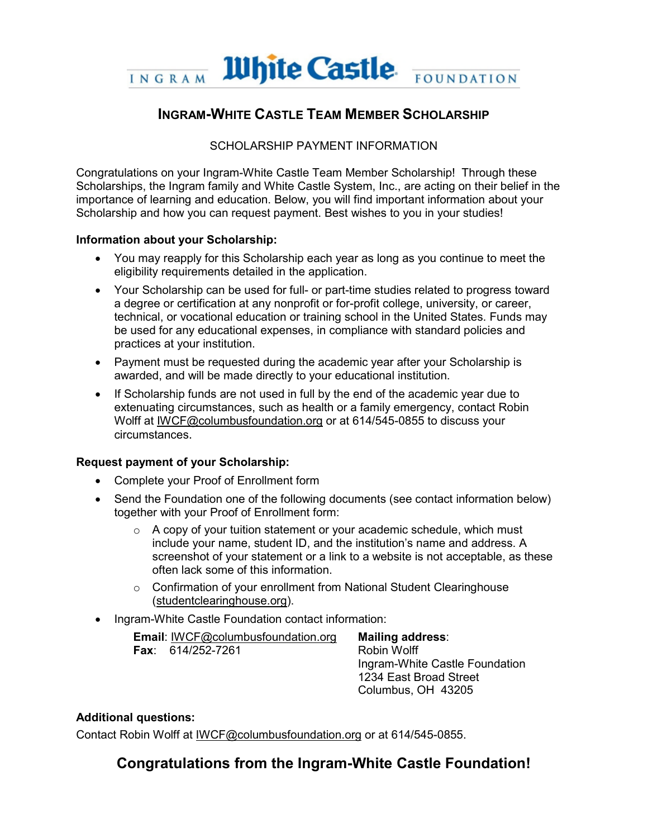

# **INGRAM-WHITE CASTLE TEAM MEMBER SCHOLARSHIP**

# SCHOLARSHIP PAYMENT INFORMATION

Congratulations on your Ingram-White Castle Team Member Scholarship! Through these Scholarships, the Ingram family and White Castle System, Inc., are acting on their belief in the importance of learning and education. Below, you will find important information about your Scholarship and how you can request payment. Best wishes to you in your studies!

### **Information about your Scholarship:**

- You may reapply for this Scholarship each year as long as you continue to meet the eligibility requirements detailed in the application.
- Your Scholarship can be used for full- or part-time studies related to progress toward a degree or certification at any nonprofit or for-profit college, university, or career, technical, or vocational education or training school in the United States. Funds may be used for any educational expenses, in compliance with standard policies and practices at your institution.
- Payment must be requested during the academic year after your Scholarship is awarded, and will be made directly to your educational institution.
- If Scholarship funds are not used in full by the end of the academic year due to extenuating circumstances, such as health or a family emergency, contact Robin Wolff at IWCF@columbusfoundation.org or at 614/545-0855 to discuss your circumstances.

# **Request payment of your Scholarship:**

- Complete your Proof of Enrollment form
- Send the Foundation one of the following documents (see contact information below) together with your Proof of Enrollment form:
	- $\circ$  A copy of your tuition statement or your academic schedule, which must include your name, student ID, and the institution's name and address. A screenshot of your statement or a link to a website is not acceptable, as these often lack some of this information.
	- o Confirmation of your enrollment from National Student Clearinghouse (studentclearinghouse.org).
- Ingram-White Castle Foundation contact information:

| <b>Email:</b> IWCF@columbusfoundation.org |                           |
|-------------------------------------------|---------------------------|
|                                           | <b>Fax</b> : 614/252-7261 |

**Mailing address**: Robin Wolff Ingram-White Castle Foundation 1234 East Broad Street Columbus, OH 43205

# **Additional questions:**

Contact Robin Wolff at IWCF@columbusfoundation.org or at 614/545-0855.

# **Congratulations from the Ingram-White Castle Foundation!**